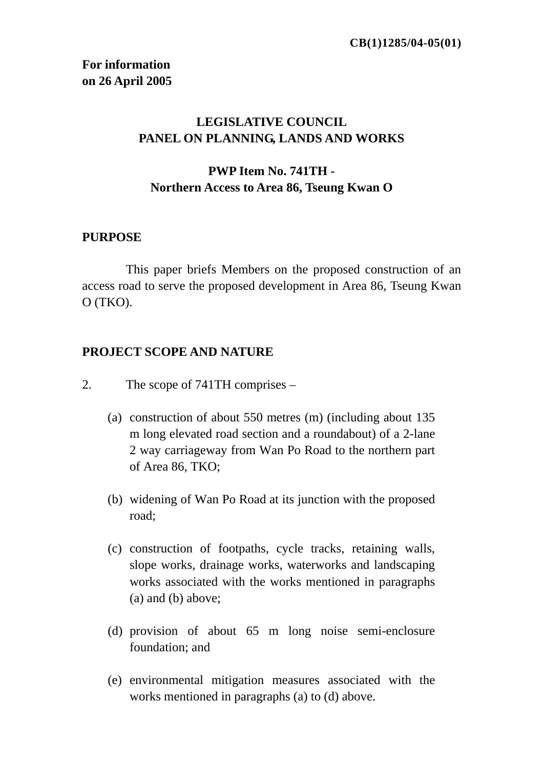# **LEGISLATIVE COUNCIL PANEL ON PLANNING, LANDS AND WORKS**

## **PWP Item No. 741TH - Northern Access to Area 86, Tseung Kwan O**

#### **PURPOSE**

 This paper briefs Members on the proposed construction of an access road to serve the proposed development in Area 86, Tseung Kwan O (TKO).

### **PROJECT SCOPE AND NATURE**

- 2. The scope of 741TH comprises
	- (a) construction of about 550 metres (m) (including about 135 m long elevated road section and a roundabout) of a 2-lane 2 way carriageway from Wan Po Road to the northern part of Area 86, TKO;
	- (b) widening of Wan Po Road at its junction with the proposed road;
	- (c) construction of footpaths, cycle tracks, retaining walls, slope works, drainage works, waterworks and landscaping works associated with the works mentioned in paragraphs (a) and (b) above;
	- (d) provision of about 65 m long noise semi-enclosure foundation; and
	- (e) environmental mitigation measures associated with the works mentioned in paragraphs (a) to (d) above.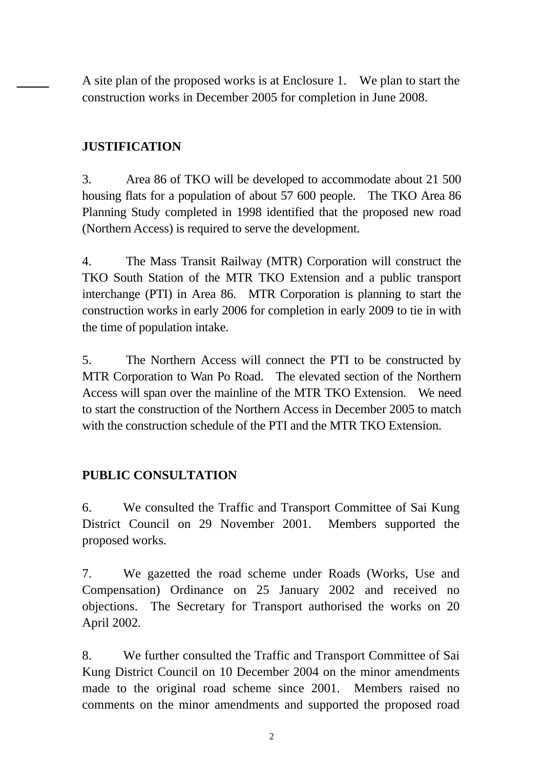A site plan of the proposed works is at Enclosure 1. We plan to start the construction works in December 2005 for completion in June 2008.

# **JUSTIFICATION**

3. Area 86 of TKO will be developed to accommodate about 21 500 housing flats for a population of about 57 600 people. The TKO Area 86 Planning Study completed in 1998 identified that the proposed new road (Northern Access) is required to serve the development.

4. The Mass Transit Railway (MTR) Corporation will construct the TKO South Station of the MTR TKO Extension and a public transport interchange (PTI) in Area 86. MTR Corporation is planning to start the construction works in early 2006 for completion in early 2009 to tie in with the time of population intake.

5. The Northern Access will connect the PTI to be constructed by MTR Corporation to Wan Po Road. The elevated section of the Northern Access will span over the mainline of the MTR TKO Extension. We need to start the construction of the Northern Access in December 2005 to match with the construction schedule of the PTI and the MTR TKO Extension

# **PUBLIC CONSULTATION**

6. We consulted the Traffic and Transport Committee of Sai Kung District Council on 29 November 2001. Members supported the proposed works.

7. We gazetted the road scheme under Roads (Works, Use and Compensation) Ordinance on 25 January 2002 and received no objections. The Secretary for Transport authorised the works on 20 April 2002*.*

8. We further consulted the Traffic and Transport Committee of Sai Kung District Council on 10 December 2004 on the minor amendments made to the original road scheme since 2001. Members raised no comments on the minor amendments and supported the proposed road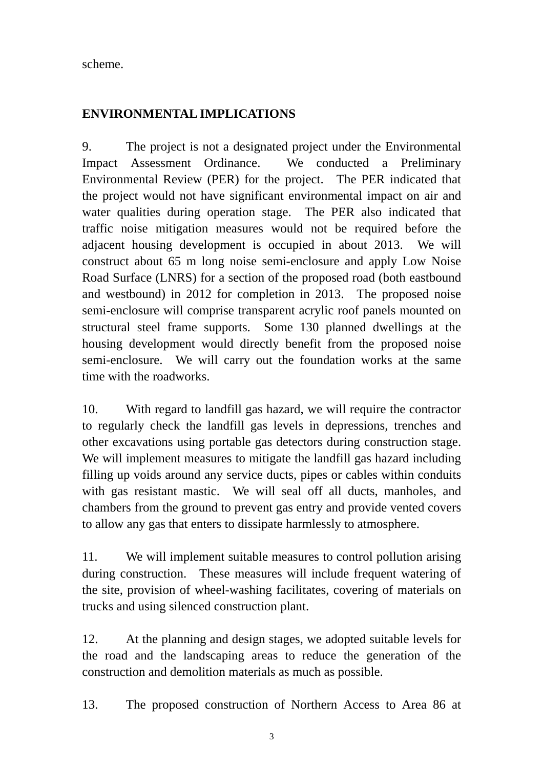scheme.

# **ENVIRONMENTAL IMPLICATIONS**

9. The project is not a designated project under the Environmental Impact Assessment Ordinance. We conducted a Preliminary Environmental Review (PER) for the project. The PER indicated that the project would not have significant environmental impact on air and water qualities during operation stage. The PER also indicated that traffic noise mitigation measures would not be required before the adjacent housing development is occupied in about 2013. We will construct about 65 m long noise semi-enclosure and apply Low Noise Road Surface (LNRS) for a section of the proposed road (both eastbound and westbound) in 2012 for completion in 2013. The proposed noise semi-enclosure will comprise transparent acrylic roof panels mounted on structural steel frame supports. Some 130 planned dwellings at the housing development would directly benefit from the proposed noise semi-enclosure. We will carry out the foundation works at the same time with the roadworks.

10. With regard to landfill gas hazard, we will require the contractor to regularly check the landfill gas levels in depressions, trenches and other excavations using portable gas detectors during construction stage. We will implement measures to mitigate the landfill gas hazard including filling up voids around any service ducts, pipes or cables within conduits with gas resistant mastic. We will seal off all ducts, manholes, and chambers from the ground to prevent gas entry and provide vented covers to allow any gas that enters to dissipate harmlessly to atmosphere.

11. We will implement suitable measures to control pollution arising during construction. These measures will include frequent watering of the site, provision of wheel-washing facilitates, covering of materials on trucks and using silenced construction plant.

12. At the planning and design stages, we adopted suitable levels for the road and the landscaping areas to reduce the generation of the construction and demolition materials as much as possible.

13. The proposed construction of Northern Access to Area 86 at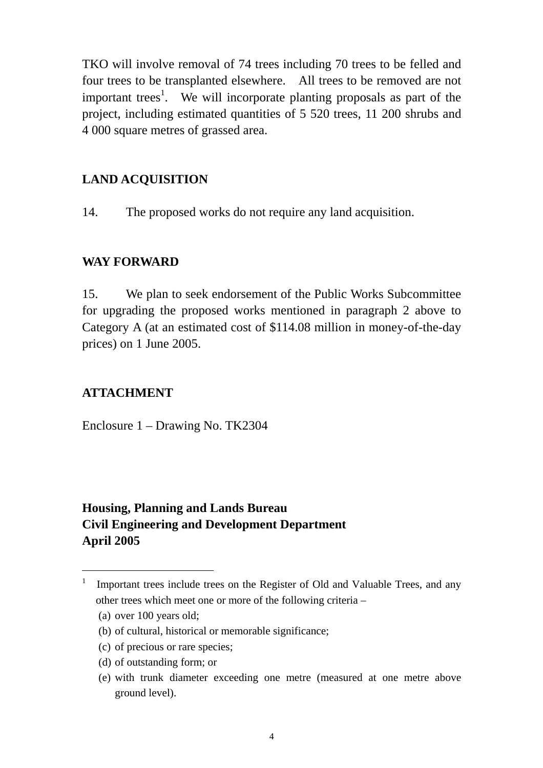TKO will involve removal of 74 trees including 70 trees to be felled and four trees to be transplanted elsewhere. All trees to be removed are not important trees<sup>1</sup>. We will incorporate planting proposals as part of the project, including estimated quantities of 5 520 trees, 11 200 shrubs and 4 000 square metres of grassed area.

## **LAND ACQUISITION**

14. The proposed works do not require any land acquisition.

### **WAY FORWARD**

15. We plan to seek endorsement of the Public Works Subcommittee for upgrading the proposed works mentioned in paragraph 2 above to Category A (at an estimated cost of \$114.08 million in money-of-the-day prices) on 1 June 2005.

# **ATTACHMENT**

Enclosure 1 – Drawing No. TK2304

# **Housing, Planning and Lands Bureau Civil Engineering and Development Department April 2005**

 $\overline{a}$ 

<sup>1</sup> Important trees include trees on the Register of Old and Valuable Trees, and any other trees which meet one or more of the following criteria –

<sup>(</sup>a) over 100 years old;

<sup>(</sup>b) of cultural, historical or memorable significance;

<sup>(</sup>c) of precious or rare species;

<sup>(</sup>d) of outstanding form; or

<sup>(</sup>e) with trunk diameter exceeding one metre (measured at one metre above ground level).